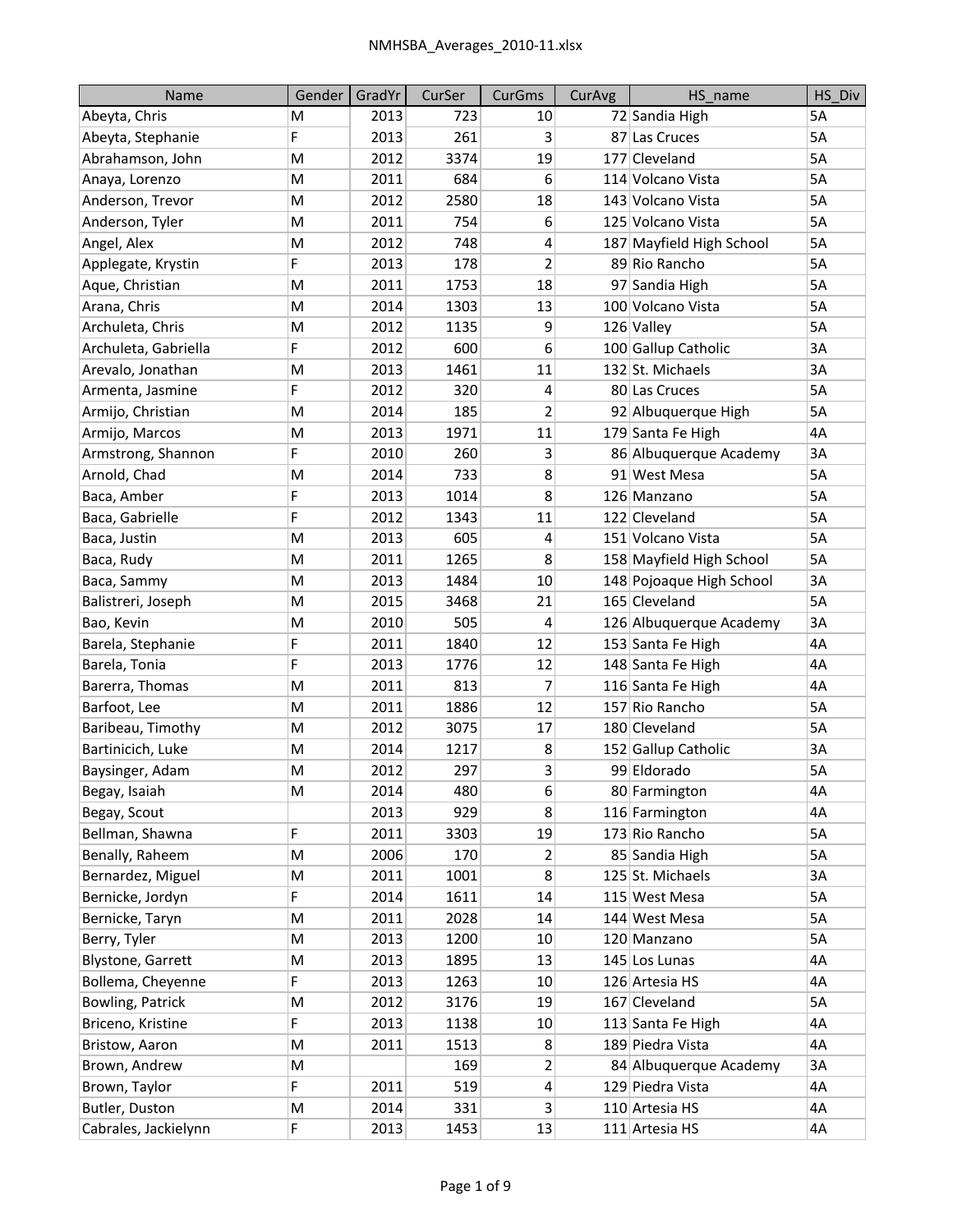| Name                    | Gender | GradYr | CurSer | <b>CurGms</b>   | CurAvg | HS name                  | HS Div    |
|-------------------------|--------|--------|--------|-----------------|--------|--------------------------|-----------|
| Abeyta, Chris           | м      | 2013   | 723    | 10              |        | 72 Sandia High           | 5A        |
| Abeyta, Stephanie       | F      | 2013   | 261    | 3               |        | 87 Las Cruces            | 5A        |
| Abrahamson, John        | M      | 2012   | 3374   | 19              |        | 177 Cleveland            | 5A        |
| Anaya, Lorenzo          | M      | 2011   | 684    | 6               |        | 114 Volcano Vista        | 5A        |
| Anderson, Trevor        | M      | 2012   | 2580   | 18              |        | 143 Volcano Vista        | 5A        |
| Anderson, Tyler         | M      | 2011   | 754    | 6               |        | 125 Volcano Vista        | 5A        |
| Angel, Alex             | M      | 2012   | 748    | 4               |        | 187 Mayfield High School | 5A        |
| Applegate, Krystin      | F      | 2013   | 178    | $\overline{2}$  |        | 89 Rio Rancho            | 5A        |
| Aque, Christian         | M      | 2011   | 1753   | 18              |        | 97 Sandia High           | 5A        |
| Arana, Chris            | M      | 2014   | 1303   | 13              |        | 100 Volcano Vista        | 5A        |
| Archuleta, Chris        | M      | 2012   | 1135   | 9               |        | 126 Valley               | 5A        |
| Archuleta, Gabriella    | F      | 2012   | 600    | 6               |        | 100 Gallup Catholic      | 3A        |
| Arevalo, Jonathan       | M      | 2013   | 1461   | 11              |        | 132 St. Michaels         | 3A        |
| Armenta, Jasmine        | F      | 2012   | 320    | 4               |        | 80 Las Cruces            | 5A        |
| Armijo, Christian       | M      | 2014   | 185    | 2               |        | 92 Albuquerque High      | 5A        |
| Armijo, Marcos          | M      | 2013   | 1971   | 11              |        | 179 Santa Fe High        | 4A        |
| Armstrong, Shannon      | F      | 2010   | 260    | 3               |        | 86 Albuquerque Academy   | 3A        |
| Arnold, Chad            | M      | 2014   | 733    | 8               |        | 91 West Mesa             | 5A        |
| Baca, Amber             | F      | 2013   | 1014   | 8               |        | 126 Manzano              | 5A        |
| Baca, Gabrielle         | F      | 2012   | 1343   | 11              |        | 122 Cleveland            | 5A        |
| Baca, Justin            | M      | 2013   | 605    | 4               |        | 151 Volcano Vista        | <b>5A</b> |
| Baca, Rudy              | M      | 2011   | 1265   | 8               |        | 158 Mayfield High School | 5A        |
| Baca, Sammy             | M      | 2013   | 1484   | 10              |        | 148 Pojoaque High School | 3A        |
| Balistreri, Joseph      | M      | 2015   | 3468   | 21              |        | 165 Cleveland            | 5A        |
| Bao, Kevin              | M      | 2010   | 505    | 4               |        | 126 Albuquerque Academy  | 3A        |
| Barela, Stephanie       | F      | 2011   | 1840   | 12              |        | 153 Santa Fe High        | 4A        |
| Barela, Tonia           | F      | 2013   | 1776   | 12              |        | 148 Santa Fe High        | 4A        |
| Barerra, Thomas         | M      | 2011   | 813    | 7               |        | 116 Santa Fe High        | 4A        |
| Barfoot, Lee            | M      | 2011   | 1886   | 12              |        | 157 Rio Rancho           | 5A        |
| Baribeau, Timothy       | M      | 2012   | 3075   | 17              |        | 180 Cleveland            | 5A        |
| Bartinicich, Luke       | M      | 2014   | 1217   | 8               |        | 152 Gallup Catholic      | 3A        |
| Baysinger, Adam         | M      | 2012   | 297    | 3               |        | 99 Eldorado              | 5A        |
| Begay, Isaiah           | M      | 2014   | 480    | 6               |        | 80 Farmington            | 4A        |
| Begay, Scout            |        | 2013   | 929    | 8               |        | 116 Farmington           | 4A        |
| Bellman, Shawna         | F      | 2011   | 3303   | 19              |        | 173 Rio Rancho           | 5A        |
| Benally, Raheem         | M      | 2006   | 170    | 2               |        | 85 Sandia High           | 5A        |
| Bernardez, Miguel       | M      | 2011   | 1001   | 8               |        | 125 St. Michaels         | 3A        |
| Bernicke, Jordyn        | F      | 2014   | 1611   | 14              |        | 115 West Mesa            | 5A        |
| Bernicke, Taryn         | M      | 2011   | 2028   | 14              |        | 144 West Mesa            | 5A        |
| Berry, Tyler            | M      | 2013   | 1200   | 10 <sup>1</sup> |        | 120 Manzano              | 5A        |
| Blystone, Garrett       | M      | 2013   | 1895   | 13              |        | 145 Los Lunas            | 4A        |
| Bollema, Cheyenne       | F      | 2013   | 1263   | 10              |        | 126 Artesia HS           | 4A        |
| <b>Bowling, Patrick</b> | M      | 2012   | 3176   | 19              |        | 167 Cleveland            | 5A        |
| Briceno, Kristine       | F      | 2013   | 1138   | 10              |        | 113 Santa Fe High        | 4A        |
| Bristow, Aaron          | M      | 2011   | 1513   | 8               |        | 189 Piedra Vista         | 4A        |
| Brown, Andrew           | M      |        | 169    | $\overline{2}$  |        | 84 Albuquerque Academy   | 3A        |
| Brown, Taylor           | F      | 2011   | 519    | 4               |        | 129 Piedra Vista         | 4A        |
| Butler, Duston          | M      | 2014   | 331    | 3               |        | 110 Artesia HS           | 4A        |
| Cabrales, Jackielynn    | F      | 2013   | 1453   | 13              |        | 111 Artesia HS           | 4A        |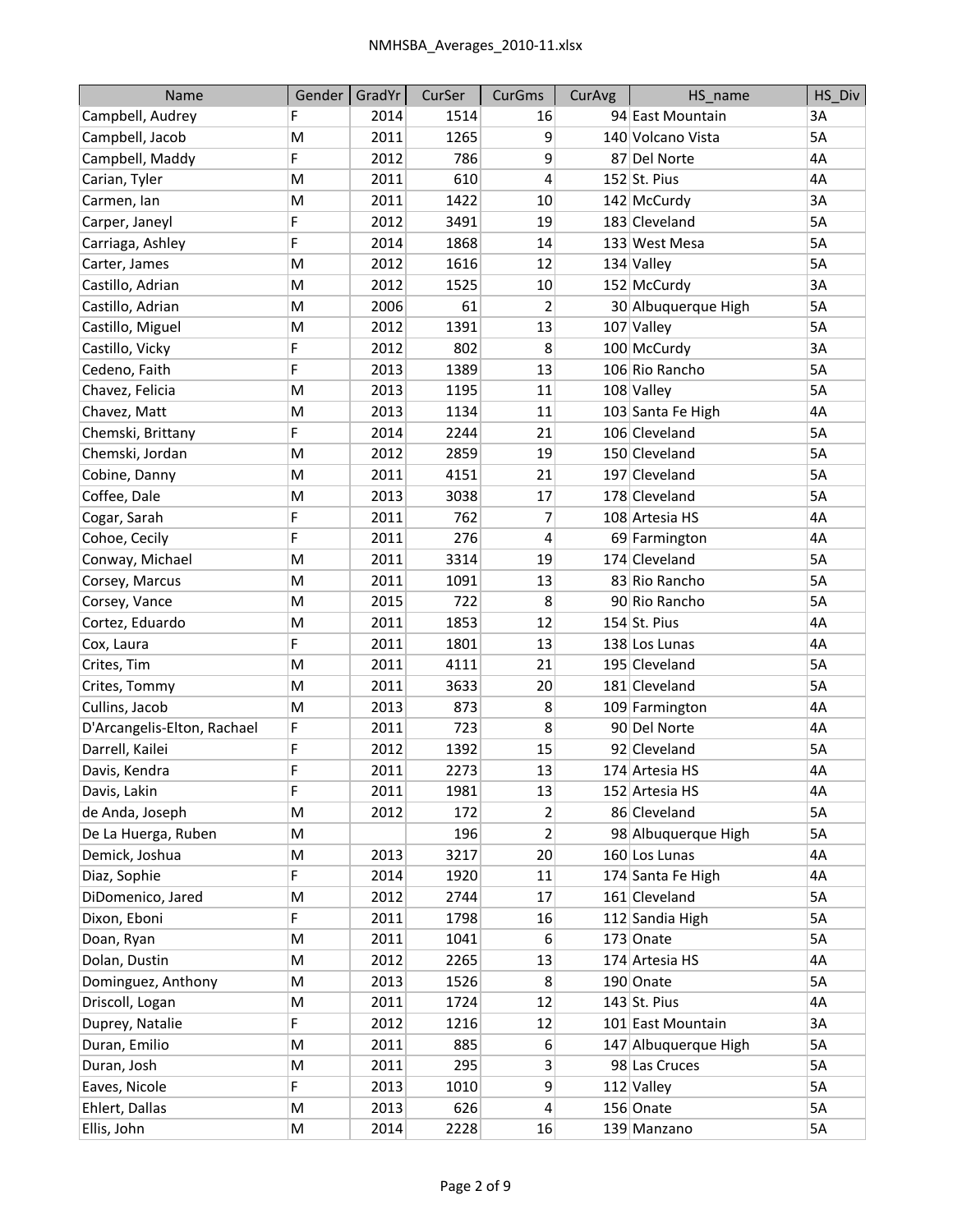| Name                        | Gender | GradYr | CurSer | <b>CurGms</b>    | CurAvg | HS_name              | HS Div    |
|-----------------------------|--------|--------|--------|------------------|--------|----------------------|-----------|
| Campbell, Audrey            | F      | 2014   | 1514   | 16               |        | 94 East Mountain     | 3A        |
| Campbell, Jacob             | M      | 2011   | 1265   | 9                |        | 140 Volcano Vista    | <b>5A</b> |
| Campbell, Maddy             | F      | 2012   | 786    | 9                |        | 87 Del Norte         | 4A        |
| Carian, Tyler               | M      | 2011   | 610    | 4                |        | $152$ St. Pius       | 4A        |
| Carmen, Ian                 | M      | 2011   | 1422   | 10               |        | 142 McCurdy          | 3A        |
| Carper, Janeyl              | F      | 2012   | 3491   | 19               |        | 183 Cleveland        | 5A        |
| Carriaga, Ashley            | F      | 2014   | 1868   | 14               |        | 133 West Mesa        | 5A        |
| Carter, James               | M      | 2012   | 1616   | 12               |        | 134 Valley           | 5A        |
| Castillo, Adrian            | M      | 2012   | 1525   | 10               |        | 152 McCurdy          | 3A        |
| Castillo, Adrian            | M      | 2006   | 61     | $\overline{2}$   |        | 30 Albuquerque High  | 5A        |
| Castillo, Miguel            | M      | 2012   | 1391   | 13               |        | 107 Valley           | 5A        |
| Castillo, Vicky             | F      | 2012   | 802    | 8                |        | 100 McCurdy          | 3A        |
| Cedeno, Faith               | F      | 2013   | 1389   | 13               |        | 106 Rio Rancho       | 5A        |
| Chavez, Felicia             | M      | 2013   | 1195   | 11               |        | 108 Valley           | 5A        |
| Chavez, Matt                | M      | 2013   | 1134   | 11               |        | 103 Santa Fe High    | 4A        |
| Chemski, Brittany           | F      | 2014   | 2244   | 21               |        | 106 Cleveland        | 5A        |
| Chemski, Jordan             | M      | 2012   | 2859   | 19               |        | 150 Cleveland        | 5A        |
| Cobine, Danny               | M      | 2011   | 4151   | 21               |        | 197 Cleveland        | 5A        |
| Coffee, Dale                | M      | 2013   | 3038   | 17               |        | 178 Cleveland        | 5A        |
| Cogar, Sarah                | F      | 2011   | 762    | 7                |        | 108 Artesia HS       | 4A        |
| Cohoe, Cecily               | F      | 2011   | 276    | 4                |        | 69 Farmington        | 4A        |
| Conway, Michael             | M      | 2011   | 3314   | 19               |        | 174 Cleveland        | 5A        |
| Corsey, Marcus              | M      | 2011   | 1091   | 13               |        | 83 Rio Rancho        | 5A        |
| Corsey, Vance               | M      | 2015   | 722    | 8                |        | 90 Rio Rancho        | 5A        |
| Cortez, Eduardo             | M      | 2011   | 1853   | 12               |        | $154$ St. Pius       | 4A        |
| Cox, Laura                  | F      | 2011   | 1801   | 13               |        | 138 Los Lunas        | 4A        |
| Crites, Tim                 | M      | 2011   | 4111   | 21               |        | 195 Cleveland        | 5A        |
| Crites, Tommy               | M      | 2011   | 3633   | 20               |        | 181 Cleveland        | 5A        |
| Cullins, Jacob              | M      | 2013   | 873    | 8                |        | 109 Farmington       | 4A        |
| D'Arcangelis-Elton, Rachael | F      | 2011   | 723    | 8                |        | 90 Del Norte         | 4A        |
| Darrell, Kailei             | F      | 2012   | 1392   | 15               |        | 92 Cleveland         | 5A        |
| Davis, Kendra               | F      | 2011   | 2273   | 13               |        | 174 Artesia HS       | 4A        |
| Davis, Lakin                | F      | 2011   | 1981   | 13               |        | 152 Artesia HS       | 4A        |
| de Anda, Joseph             | M      | 2012   | 172    | 2                |        | 86 Cleveland         | 5A        |
| De La Huerga, Ruben         | M      |        | 196    | 2                |        | 98 Albuquerque High  | 5A        |
| Demick, Joshua              | M      | 2013   | 3217   | 20               |        | 160 Los Lunas        | 4A        |
| Diaz, Sophie                | F      | 2014   | 1920   | 11               |        | 174 Santa Fe High    | 4A        |
| DiDomenico, Jared           | M      | 2012   | 2744   | 17               |        | 161 Cleveland        | 5A        |
| Dixon, Eboni                | F      | 2011   | 1798   | 16               |        | 112 Sandia High      | 5A        |
| Doan, Ryan                  | M      | 2011   | 1041   | $6 \overline{6}$ |        | 173 Onate            | 5A        |
| Dolan, Dustin               | M      | 2012   | 2265   | 13               |        | 174 Artesia HS       | 4A        |
| Dominguez, Anthony          | M      | 2013   | 1526   | 8                |        | 190 Onate            | 5A        |
| Driscoll, Logan             | M      | 2011   | 1724   | 12               |        | $143$ St. Pius       | 4A        |
| Duprey, Natalie             | F      | 2012   | 1216   | 12               |        | 101 East Mountain    | 3A        |
| Duran, Emilio               | M      | 2011   | 885    | 6                |        | 147 Albuquerque High | 5A        |
| Duran, Josh                 | M      | 2011   | 295    | $\overline{3}$   |        | 98 Las Cruces        | 5A        |
| Eaves, Nicole               | F      | 2013   | 1010   | 9                |        | 112 Valley           | 5A        |
| Ehlert, Dallas              | M      | 2013   | 626    | $\overline{4}$   |        | 156 Onate            | 5A        |
| Ellis, John                 | M      | 2014   | 2228   | 16               |        | 139 Manzano          | 5A        |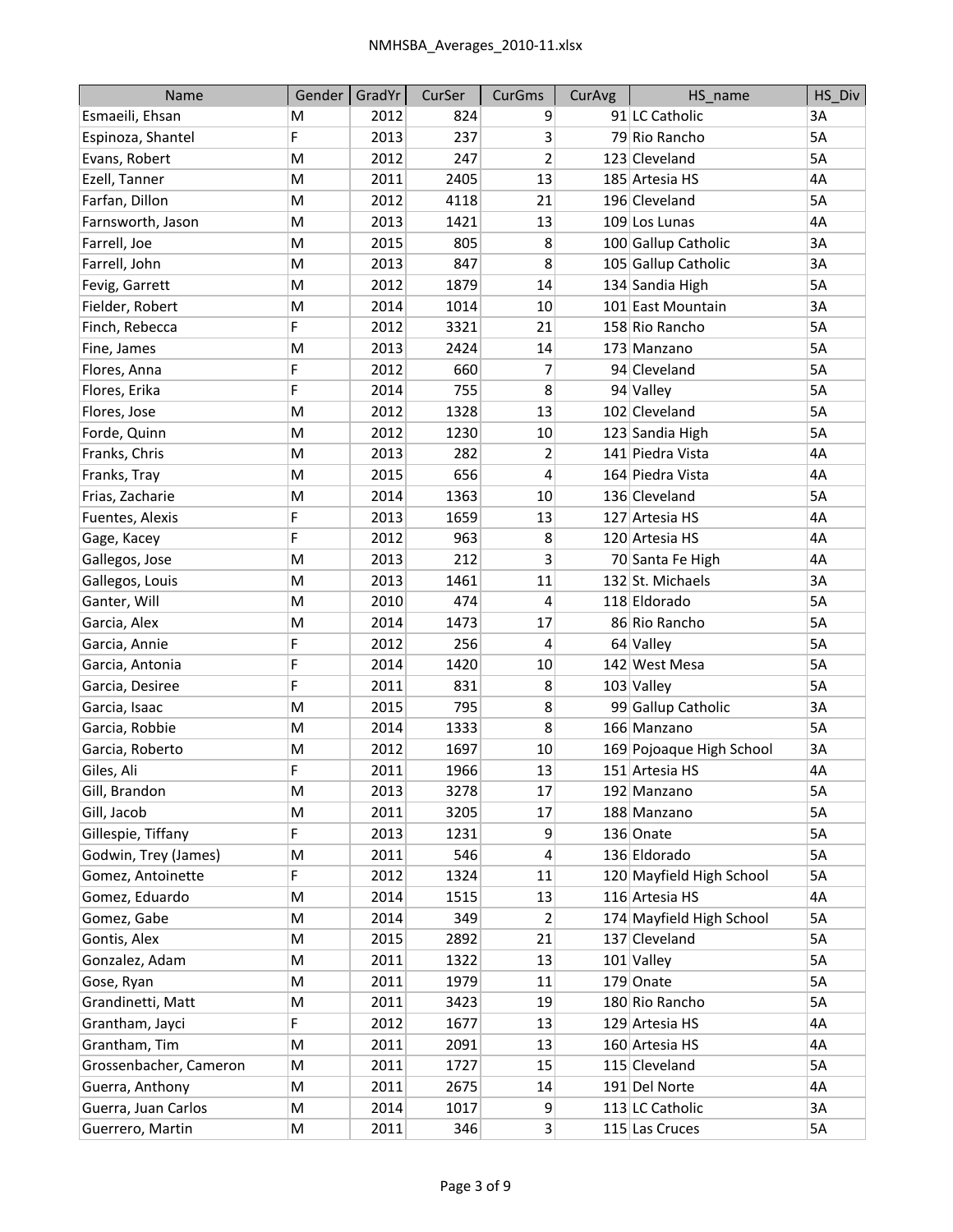| Name                   | Gender | GradYr | CurSer | <b>CurGms</b>           | CurAvg | HS name                  | HS Div |
|------------------------|--------|--------|--------|-------------------------|--------|--------------------------|--------|
| Esmaeili, Ehsan        | M      | 2012   | 824    | 9                       |        | 91 LC Catholic           | 3A     |
| Espinoza, Shantel      | F      | 2013   | 237    | 3                       |        | 79 Rio Rancho            | 5A     |
| Evans, Robert          | M      | 2012   | 247    | $\overline{\mathbf{c}}$ |        | 123 Cleveland            | 5A     |
| Ezell, Tanner          | M      | 2011   | 2405   | 13                      |        | 185 Artesia HS           | 4A     |
| Farfan, Dillon         | M      | 2012   | 4118   | 21                      |        | 196 Cleveland            | 5A     |
| Farnsworth, Jason      | M      | 2013   | 1421   | 13                      |        | 109 Los Lunas            | 4A     |
| Farrell, Joe           | M      | 2015   | 805    | 8                       |        | 100 Gallup Catholic      | 3A     |
| Farrell, John          | M      | 2013   | 847    | 8                       |        | 105 Gallup Catholic      | 3A     |
| Fevig, Garrett         | M      | 2012   | 1879   | 14                      |        | 134 Sandia High          | 5A     |
| Fielder, Robert        | M      | 2014   | 1014   | 10                      |        | 101 East Mountain        | 3A     |
| Finch, Rebecca         | F      | 2012   | 3321   | 21                      |        | 158 Rio Rancho           | 5A     |
| Fine, James            | M      | 2013   | 2424   | 14                      |        | 173 Manzano              | 5A     |
| Flores, Anna           | F      | 2012   | 660    | 7                       |        | 94 Cleveland             | 5A     |
| Flores, Erika          | F      | 2014   | 755    | 8                       |        | 94 Valley                | 5A     |
| Flores, Jose           | M      | 2012   | 1328   | 13                      |        | 102 Cleveland            | 5A     |
| Forde, Quinn           | M      | 2012   | 1230   | 10                      |        | 123 Sandia High          | 5A     |
| Franks, Chris          | M      | 2013   | 282    | $\overline{2}$          |        | 141 Piedra Vista         | 4A     |
| Franks, Tray           | M      | 2015   | 656    | 4                       |        | 164 Piedra Vista         | 4A     |
| Frias, Zacharie        | M      | 2014   | 1363   | 10                      |        | 136 Cleveland            | 5A     |
| Fuentes, Alexis        | F      | 2013   | 1659   | 13                      |        | 127 Artesia HS           | 4A     |
| Gage, Kacey            | F      | 2012   | 963    | 8                       |        | 120 Artesia HS           | 4A     |
| Gallegos, Jose         | M      | 2013   | 212    | 3                       |        | 70 Santa Fe High         | 4A     |
| Gallegos, Louis        | M      | 2013   | 1461   | 11                      |        | 132 St. Michaels         | 3A     |
| Ganter, Will           | M      | 2010   | 474    | 4                       |        | 118 Eldorado             | 5A     |
| Garcia, Alex           | M      | 2014   | 1473   | 17                      |        | 86 Rio Rancho            | 5A     |
| Garcia, Annie          | F      | 2012   | 256    | 4                       |        | 64 Valley                | 5A     |
| Garcia, Antonia        | F      | 2014   | 1420   | 10                      |        | 142 West Mesa            | 5A     |
| Garcia, Desiree        | F      | 2011   | 831    | 8                       |        | 103 Valley               | 5A     |
| Garcia, Isaac          | M      | 2015   | 795    | 8                       |        | 99 Gallup Catholic       | 3A     |
| Garcia, Robbie         | M      | 2014   | 1333   | 8                       |        | 166 Manzano              | 5A     |
| Garcia, Roberto        | M      | 2012   | 1697   | 10                      |        | 169 Pojoaque High School | 3A     |
| Giles, Ali             | F      | 2011   | 1966   | 13                      |        | 151 Artesia HS           | 4A     |
| Gill, Brandon          | M      | 2013   | 3278   | 17                      |        | 192 Manzano              | 5A     |
| Gill, Jacob            | M      | 2011   | 3205   | 17                      |        | 188 Manzano              | 5A     |
| Gillespie, Tiffany     | F      | 2013   | 1231   | 9                       |        | 136 Onate                | 5A     |
| Godwin, Trey (James)   | M      | 2011   | 546    | 4                       |        | 136 Eldorado             | 5A     |
| Gomez, Antoinette      | F      | 2012   | 1324   | 11                      |        | 120 Mayfield High School | 5A     |
| Gomez, Eduardo         | M      | 2014   | 1515   | 13                      |        | 116 Artesia HS           | 4А     |
| Gomez, Gabe            | M      | 2014   | 349    | 2                       |        | 174 Mayfield High School | 5A     |
| Gontis, Alex           | M      | 2015   | 2892   | 21                      |        | 137 Cleveland            | 5A     |
| Gonzalez, Adam         | M      | 2011   | 1322   | 13                      |        | 101 Valley               | 5A     |
| Gose, Ryan             | M      | 2011   | 1979   | 11                      |        | 179 Onate                | 5A     |
| Grandinetti, Matt      | M      | 2011   | 3423   | 19                      |        | 180 Rio Rancho           | 5A     |
| Grantham, Jayci        | F      | 2012   | 1677   | 13                      |        | 129 Artesia HS           | 4A     |
| Grantham, Tim          | M      | 2011   | 2091   | 13                      |        | 160 Artesia HS           | 4A     |
| Grossenbacher, Cameron | M      | 2011   | 1727   | 15                      |        | 115 Cleveland            | 5A     |
| Guerra, Anthony        | M      | 2011   | 2675   | 14                      |        | 191 Del Norte            | 4A     |
| Guerra, Juan Carlos    | M      | 2014   | 1017   | $\overline{9}$          |        | 113 LC Catholic          | 3A     |
| Guerrero, Martin       | M      | 2011   | 346    | $\overline{3}$          |        | 115 Las Cruces           | 5A     |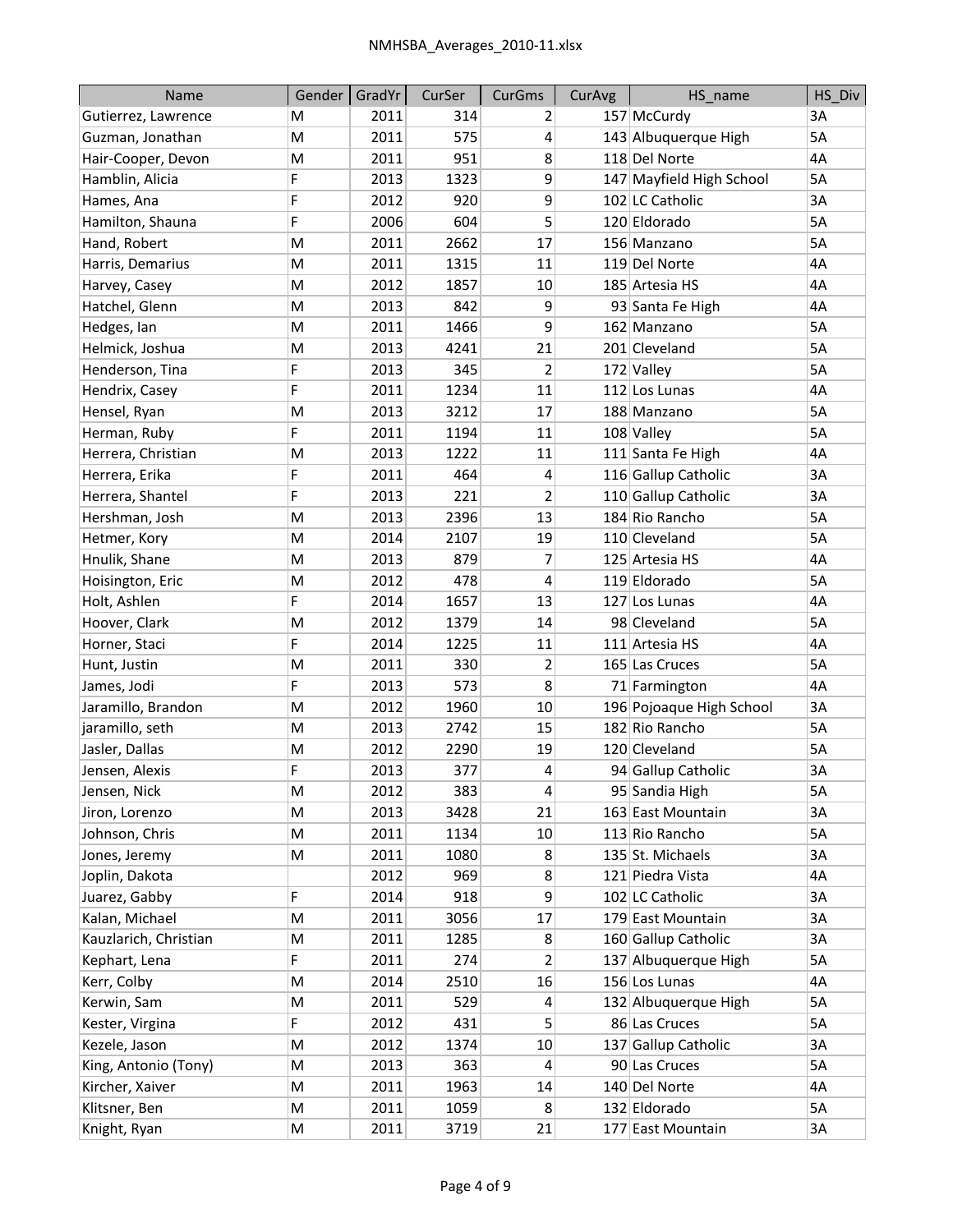| Name                  | Gender | GradYr | CurSer | <b>CurGms</b>  | CurAvg | HS_name                  | HS Div    |
|-----------------------|--------|--------|--------|----------------|--------|--------------------------|-----------|
| Gutierrez, Lawrence   | M      | 2011   | 314    | 2              |        | 157 McCurdy              | 3A        |
| Guzman, Jonathan      | M      | 2011   | 575    | 4              |        | 143 Albuquerque High     | <b>5A</b> |
| Hair-Cooper, Devon    | M      | 2011   | 951    | 8              |        | 118 Del Norte            | 4A        |
| Hamblin, Alicia       | F      | 2013   | 1323   | 9              |        | 147 Mayfield High School | 5A        |
| Hames, Ana            | F      | 2012   | 920    | 9              |        | 102 LC Catholic          | 3A        |
| Hamilton, Shauna      | F      | 2006   | 604    | 5              |        | 120 Eldorado             | 5A        |
| Hand, Robert          | M      | 2011   | 2662   | 17             |        | 156 Manzano              | 5A        |
| Harris, Demarius      | M      | 2011   | 1315   | 11             |        | 119 Del Norte            | 4A        |
| Harvey, Casey         | M      | 2012   | 1857   | 10             |        | 185 Artesia HS           | 4A        |
| Hatchel, Glenn        | M      | 2013   | 842    | 9              |        | 93 Santa Fe High         | 4A        |
| Hedges, lan           | M      | 2011   | 1466   | 9              |        | 162 Manzano              | 5A        |
| Helmick, Joshua       | M      | 2013   | 4241   | 21             |        | 201 Cleveland            | 5A        |
| Henderson, Tina       | F      | 2013   | 345    | $\overline{2}$ |        | 172 Valley               | 5A        |
| Hendrix, Casey        | F      | 2011   | 1234   | 11             |        | 112 Los Lunas            | 4A        |
| Hensel, Ryan          | M      | 2013   | 3212   | 17             |        | 188 Manzano              | 5A        |
| Herman, Ruby          | F      | 2011   | 1194   | 11             |        | 108 Valley               | 5A        |
| Herrera, Christian    | M      | 2013   | 1222   | 11             |        | 111 Santa Fe High        | 4A        |
| Herrera, Erika        | F      | 2011   | 464    | 4              |        | 116 Gallup Catholic      | 3A        |
| Herrera, Shantel      | F      | 2013   | 221    | $\overline{2}$ |        | 110 Gallup Catholic      | 3A        |
| Hershman, Josh        | M      | 2013   | 2396   | 13             |        | 184 Rio Rancho           | 5A        |
| Hetmer, Kory          | M      | 2014   | 2107   | 19             |        | 110 Cleveland            | 5A        |
| Hnulik, Shane         | M      | 2013   | 879    | 7              |        | 125 Artesia HS           | 4A        |
| Hoisington, Eric      | M      | 2012   | 478    | 4              |        | 119 Eldorado             | 5A        |
| Holt, Ashlen          | F      | 2014   | 1657   | 13             |        | 127 Los Lunas            | 4A        |
| Hoover, Clark         | M      | 2012   | 1379   | 14             |        | 98 Cleveland             | 5A        |
| Horner, Staci         | F      | 2014   | 1225   | 11             |        | 111 Artesia HS           | 4A        |
| Hunt, Justin          | M      | 2011   | 330    | $\overline{2}$ |        | 165 Las Cruces           | 5A        |
| James, Jodi           | F      | 2013   | 573    | 8              |        | 71 Farmington            | 4A        |
| Jaramillo, Brandon    | M      | 2012   | 1960   | 10             |        | 196 Pojoaque High School | 3A        |
| jaramillo, seth       | M      | 2013   | 2742   | 15             |        | 182 Rio Rancho           | 5A        |
| Jasler, Dallas        | M      | 2012   | 2290   | 19             |        | 120 Cleveland            | 5A        |
| Jensen, Alexis        | F      | 2013   | 377    | 4              |        | 94 Gallup Catholic       | 3A        |
| Jensen, Nick          | M      | 2012   | 383    | 4              |        | 95 Sandia High           | 5A        |
| Jiron, Lorenzo        | M      | 2013   | 3428   | 21             |        | 163 East Mountain        | 3A        |
| Johnson, Chris        | M      | 2011   | 1134   | 10             |        | 113 Rio Rancho           | 5A        |
| Jones, Jeremy         | M      | 2011   | 1080   | 8              |        | 135 St. Michaels         | 3A        |
| Joplin, Dakota        |        | 2012   | 969    | 8              |        | 121 Piedra Vista         | 4A        |
| Juarez, Gabby         | F      | 2014   | 918    | 9              |        | 102 LC Catholic          | 3A        |
| Kalan, Michael        | M      | 2011   | 3056   | 17             |        | 179 East Mountain        | 3A        |
| Kauzlarich, Christian | M      | 2011   | 1285   | 8              |        | 160 Gallup Catholic      | 3A        |
| Kephart, Lena         | F      | 2011   | 274    | $\overline{2}$ |        | 137 Albuquerque High     | 5A        |
| Kerr, Colby           | M      | 2014   | 2510   | 16             |        | 156 Los Lunas            | 4A        |
| Kerwin, Sam           | M      | 2011   | 529    | 4              |        | 132 Albuquerque High     | 5A        |
| Kester, Virgina       | F      | 2012   | 431    | 5              |        | 86 Las Cruces            | 5A        |
| Kezele, Jason         | M      | 2012   | 1374   | 10             |        | 137 Gallup Catholic      | 3A        |
| King, Antonio (Tony)  | M      | 2013   | 363    | 4              |        | 90 Las Cruces            | 5A        |
| Kircher, Xaiver       | M      | 2011   | 1963   | 14             |        | 140 Del Norte            | 4A        |
| Klitsner, Ben         | M      | 2011   | 1059   | 8              |        | 132 Eldorado             | 5A        |
| Knight, Ryan          | M      | 2011   | 3719   | 21             |        | 177 East Mountain        | 3A        |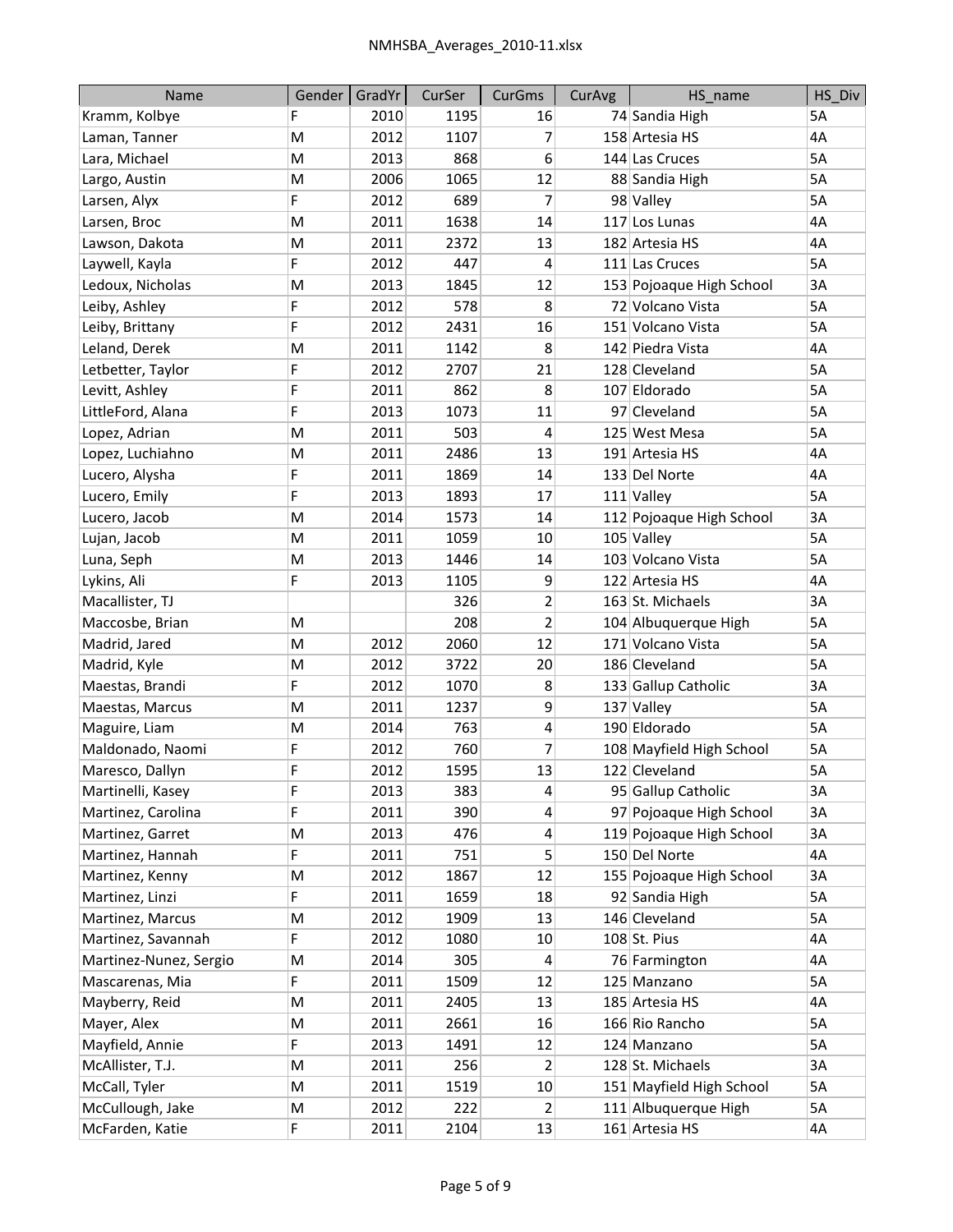| Name                   | Gender | GradYr | CurSer | <b>CurGms</b>  | CurAvg | HS name                  | HS Div |
|------------------------|--------|--------|--------|----------------|--------|--------------------------|--------|
| Kramm, Kolbye          | F      | 2010   | 1195   | 16             |        | 74 Sandia High           | 5A     |
| Laman, Tanner          | M      | 2012   | 1107   | 7              |        | 158 Artesia HS           | 4A     |
| Lara, Michael          | M      | 2013   | 868    | 6              |        | 144 Las Cruces           | 5A     |
| Largo, Austin          | M      | 2006   | 1065   | 12             |        | 88 Sandia High           | 5A     |
| Larsen, Alyx           | F      | 2012   | 689    | 7              |        | 98 Valley                | 5A     |
| Larsen, Broc           | M      | 2011   | 1638   | 14             |        | 117 Los Lunas            | 4A     |
| Lawson, Dakota         | M      | 2011   | 2372   | 13             |        | 182 Artesia HS           | 4A     |
| Laywell, Kayla         | F      | 2012   | 447    | 4              |        | 111 Las Cruces           | 5A     |
| Ledoux, Nicholas       | M      | 2013   | 1845   | 12             |        | 153 Pojoaque High School | 3A     |
| Leiby, Ashley          | F      | 2012   | 578    | 8              |        | 72 Volcano Vista         | 5A     |
| Leiby, Brittany        | F      | 2012   | 2431   | 16             |        | 151 Volcano Vista        | 5A     |
| Leland, Derek          | M      | 2011   | 1142   | 8              |        | 142 Piedra Vista         | 4A     |
| Letbetter, Taylor      | F      | 2012   | 2707   | 21             |        | 128 Cleveland            | 5A     |
| Levitt, Ashley         | F      | 2011   | 862    | 8              |        | 107 Eldorado             | 5A     |
| LittleFord, Alana      | F      | 2013   | 1073   | 11             |        | 97 Cleveland             | 5A     |
| Lopez, Adrian          | M      | 2011   | 503    | 4              |        | 125 West Mesa            | 5A     |
| Lopez, Luchiahno       | M      | 2011   | 2486   | 13             |        | 191 Artesia HS           | 4A     |
| Lucero, Alysha         | F      | 2011   | 1869   | 14             |        | 133 Del Norte            | 4A     |
| Lucero, Emily          | F      | 2013   | 1893   | 17             |        | $111$ Valley             | 5A     |
| Lucero, Jacob          | M      | 2014   | 1573   | 14             |        | 112 Pojoaque High School | 3A     |
| Lujan, Jacob           | M      | 2011   | 1059   | 10             |        | $105$ Valley             | 5A     |
| Luna, Seph             | M      | 2013   | 1446   | 14             |        | 103 Volcano Vista        | 5A     |
| Lykins, Ali            | F      | 2013   | 1105   | 9              |        | 122 Artesia HS           | 4A     |
| Macallister, TJ        |        |        | 326    | $\overline{2}$ |        | 163 St. Michaels         | 3A     |
| Maccosbe, Brian        | M      |        | 208    | $\overline{2}$ |        | 104 Albuquerque High     | 5A     |
| Madrid, Jared          | M      | 2012   | 2060   | 12             |        | 171 Volcano Vista        | 5A     |
| Madrid, Kyle           | M      | 2012   | 3722   | 20             |        | 186 Cleveland            | 5A     |
| Maestas, Brandi        | F      | 2012   | 1070   | 8              |        | 133 Gallup Catholic      | 3A     |
| Maestas, Marcus        | M      | 2011   | 1237   | 9              |        | 137 Valley               | 5A     |
| Maguire, Liam          | M      | 2014   | 763    | 4              |        | 190 Eldorado             | 5A     |
| Maldonado, Naomi       | F      | 2012   | 760    | 7              |        | 108 Mayfield High School | 5A     |
| Maresco, Dallyn        | F      | 2012   | 1595   | 13             |        | 122 Cleveland            | 5A     |
| Martinelli, Kasey      | F      | 2013   | 383    | 4              |        | 95 Gallup Catholic       | 3A     |
| Martinez, Carolina     | F      | 2011   | 390    | 4              |        | 97 Pojoaque High School  | 3A     |
| Martinez, Garret       | M      | 2013   | 476    | 4              |        | 119 Pojoaque High School | 3A     |
| Martinez, Hannah       | F      | 2011   | 751    | 5              |        | 150 Del Norte            | 4A     |
| Martinez, Kenny        | M      | 2012   | 1867   | 12             |        | 155 Pojoaque High School | 3A     |
| Martinez, Linzi        | F      | 2011   | 1659   | 18             |        | 92 Sandia High           | 5A     |
| Martinez, Marcus       | M      | 2012   | 1909   | 13             |        | 146 Cleveland            | 5A     |
| Martinez, Savannah     | F      | 2012   | 1080   | 10             |        | $108$ St. Pius           | 4A     |
| Martinez-Nunez, Sergio | M      | 2014   | 305    | 4              |        | 76 Farmington            | 4A     |
| Mascarenas, Mia        | F      | 2011   | 1509   | 12             |        | 125 Manzano              | 5A     |
| Mayberry, Reid         | M      | 2011   | 2405   | 13             |        | 185 Artesia HS           | 4A     |
| Mayer, Alex            | M      | 2011   | 2661   | 16             |        | 166 Rio Rancho           | 5A     |
| Mayfield, Annie        | F      | 2013   | 1491   | 12             |        | 124 Manzano              | 5A     |
| McAllister, T.J.       | M      | 2011   | 256    | 2              |        | 128 St. Michaels         | 3A     |
| McCall, Tyler          | M      | 2011   | 1519   | 10             |        | 151 Mayfield High School | 5A     |
| McCullough, Jake       | M      | 2012   | 222    | $\overline{2}$ |        | 111 Albuquerque High     | 5A     |
| McFarden, Katie        | F      | 2011   | 2104   | 13             |        | 161 Artesia HS           | 4A     |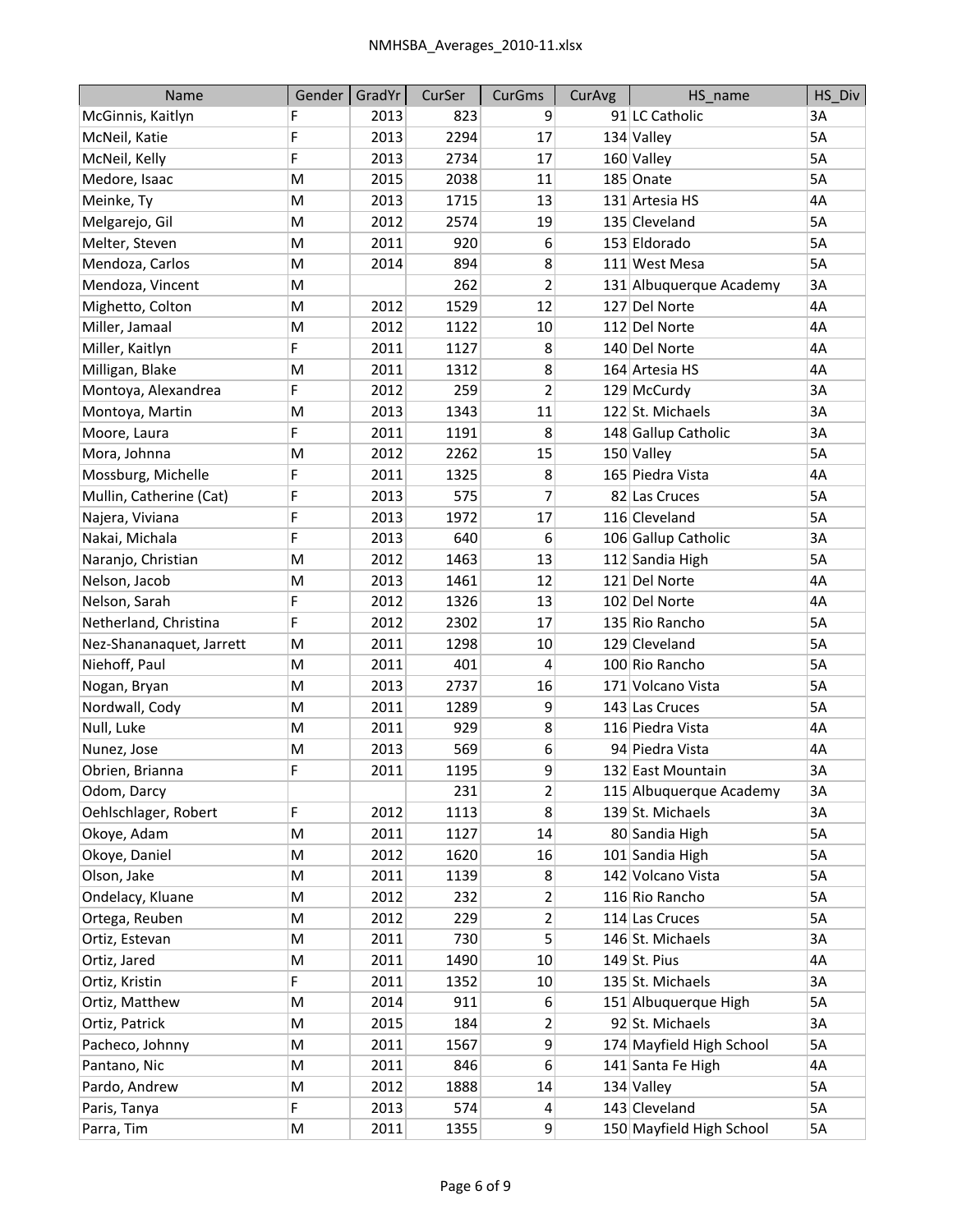| <b>Name</b>              | Gender    | GradYr | CurSer | <b>CurGms</b>  | CurAvg | HS_name                  | HS Div    |
|--------------------------|-----------|--------|--------|----------------|--------|--------------------------|-----------|
| McGinnis, Kaitlyn        | F         | 2013   | 823    | 9              |        | 91 LC Catholic           | 3A        |
| McNeil, Katie            | F         | 2013   | 2294   | 17             |        | 134 Valley               | 5A        |
| McNeil, Kelly            | F         | 2013   | 2734   | 17             |        | 160 Valley               | 5A        |
| Medore, Isaac            | M         | 2015   | 2038   | 11             |        | 185 Onate                | 5A        |
| Meinke, Ty               | M         | 2013   | 1715   | 13             |        | 131 Artesia HS           | 4A        |
| Melgarejo, Gil           | M         | 2012   | 2574   | 19             |        | 135 Cleveland            | 5A        |
| Melter, Steven           | M         | 2011   | 920    | 6              |        | 153 Eldorado             | 5A        |
| Mendoza, Carlos          | M         | 2014   | 894    | 8              |        | 111 West Mesa            | 5A        |
| Mendoza, Vincent         | M         |        | 262    | 2              |        | 131 Albuquerque Academy  | 3A        |
| Mighetto, Colton         | M         | 2012   | 1529   | 12             |        | 127 Del Norte            | 4A        |
| Miller, Jamaal           | M         | 2012   | 1122   | 10             |        | 112 Del Norte            | 4A        |
| Miller, Kaitlyn          | F         | 2011   | 1127   | 8              |        | 140 Del Norte            | 4A        |
| Milligan, Blake          | M         | 2011   | 1312   | 8              |        | 164 Artesia HS           | 4A        |
| Montoya, Alexandrea      | F         | 2012   | 259    | $\overline{2}$ |        | 129 McCurdy              | 3A        |
| Montoya, Martin          | M         | 2013   | 1343   | 11             |        | 122 St. Michaels         | 3A        |
| Moore, Laura             | F         | 2011   | 1191   | 8              |        | 148 Gallup Catholic      | 3A        |
| Mora, Johnna             | M         | 2012   | 2262   | 15             |        | 150 Valley               | 5A        |
| Mossburg, Michelle       | F         | 2011   | 1325   | 8              |        | 165 Piedra Vista         | 4A        |
| Mullin, Catherine (Cat)  | F         | 2013   | 575    | 7              |        | 82 Las Cruces            | 5A        |
| Najera, Viviana          | F         | 2013   | 1972   | 17             |        | 116 Cleveland            | 5A        |
| Nakai, Michala           | F         | 2013   | 640    | 6              |        | 106 Gallup Catholic      | 3A        |
| Naranjo, Christian       | M         | 2012   | 1463   | 13             |        | 112 Sandia High          | 5A        |
| Nelson, Jacob            | M         | 2013   | 1461   | 12             |        | 121 Del Norte            | 4A        |
| Nelson, Sarah            | F         | 2012   | 1326   | 13             |        | 102 Del Norte            | 4A        |
| Netherland, Christina    | F         | 2012   | 2302   | 17             |        | 135 Rio Rancho           | 5A        |
| Nez-Shananaquet, Jarrett | M         | 2011   | 1298   | 10             |        | 129 Cleveland            | 5A        |
| Niehoff, Paul            | ${\sf M}$ | 2011   | 401    | 4              |        | 100 Rio Rancho           | 5A        |
| Nogan, Bryan             | M         | 2013   | 2737   | 16             |        | 171 Volcano Vista        | 5A        |
| Nordwall, Cody           | M         | 2011   | 1289   | 9              |        | 143 Las Cruces           | <b>5A</b> |
| Null, Luke               | M         | 2011   | 929    | 8              |        | 116 Piedra Vista         | 4A        |
| Nunez, Jose              | M         | 2013   | 569    | 6              |        | 94 Piedra Vista          | 4A        |
| Obrien, Brianna          | F         | 2011   | 1195   | 9              |        | 132 East Mountain        | 3A        |
| Odom, Darcy              |           |        | 231    | $\overline{2}$ |        | 115 Albuquerque Academy  | 3A        |
| Oehlschlager, Robert     | F         | 2012   | 1113   | 8              |        | 139 St. Michaels         | 3A        |
| Okoye, Adam              | M         | 2011   | 1127   | 14             |        | 80 Sandia High           | 5A        |
| Okoye, Daniel            | ${\sf M}$ | 2012   | 1620   | 16             |        | 101 Sandia High          | 5A        |
| Olson, Jake              | ${\sf M}$ | 2011   | 1139   | 8              |        | 142 Volcano Vista        | 5A        |
| Ondelacy, Kluane         | M         | 2012   | 232    | 2              |        | 116 Rio Rancho           | 5A        |
| Ortega, Reuben           | M         | 2012   | 229    | 2              |        | 114 Las Cruces           | 5A        |
| Ortiz, Estevan           | ${\sf M}$ | 2011   | 730    | 5              |        | 146 St. Michaels         | 3A        |
| Ortiz, Jared             | M         | 2011   | 1490   | $10\,$         |        | $149$ St. Pius           | 4A        |
| Ortiz, Kristin           | F         | 2011   | 1352   | 10             |        | 135 St. Michaels         | 3A        |
| Ortiz, Matthew           | ${\sf M}$ | 2014   | 911    | 6              |        | 151 Albuquerque High     | 5A        |
| Ortiz, Patrick           | ${\sf M}$ | 2015   | 184    | 2              |        | 92 St. Michaels          | 3A        |
| Pacheco, Johnny          | ${\sf M}$ | 2011   | 1567   | 9              |        | 174 Mayfield High School | 5A        |
| Pantano, Nic             | M         | 2011   | 846    | 6              |        | 141 Santa Fe High        | 4А        |
| Pardo, Andrew            | ${\sf M}$ | 2012   | 1888   | 14             |        | 134 Valley               | 5A        |
| Paris, Tanya             | F         | 2013   | 574    | 4              |        | 143 Cleveland            | 5A        |
| Parra, Tim               | M         | 2011   | 1355   | 9              |        | 150 Mayfield High School | 5A        |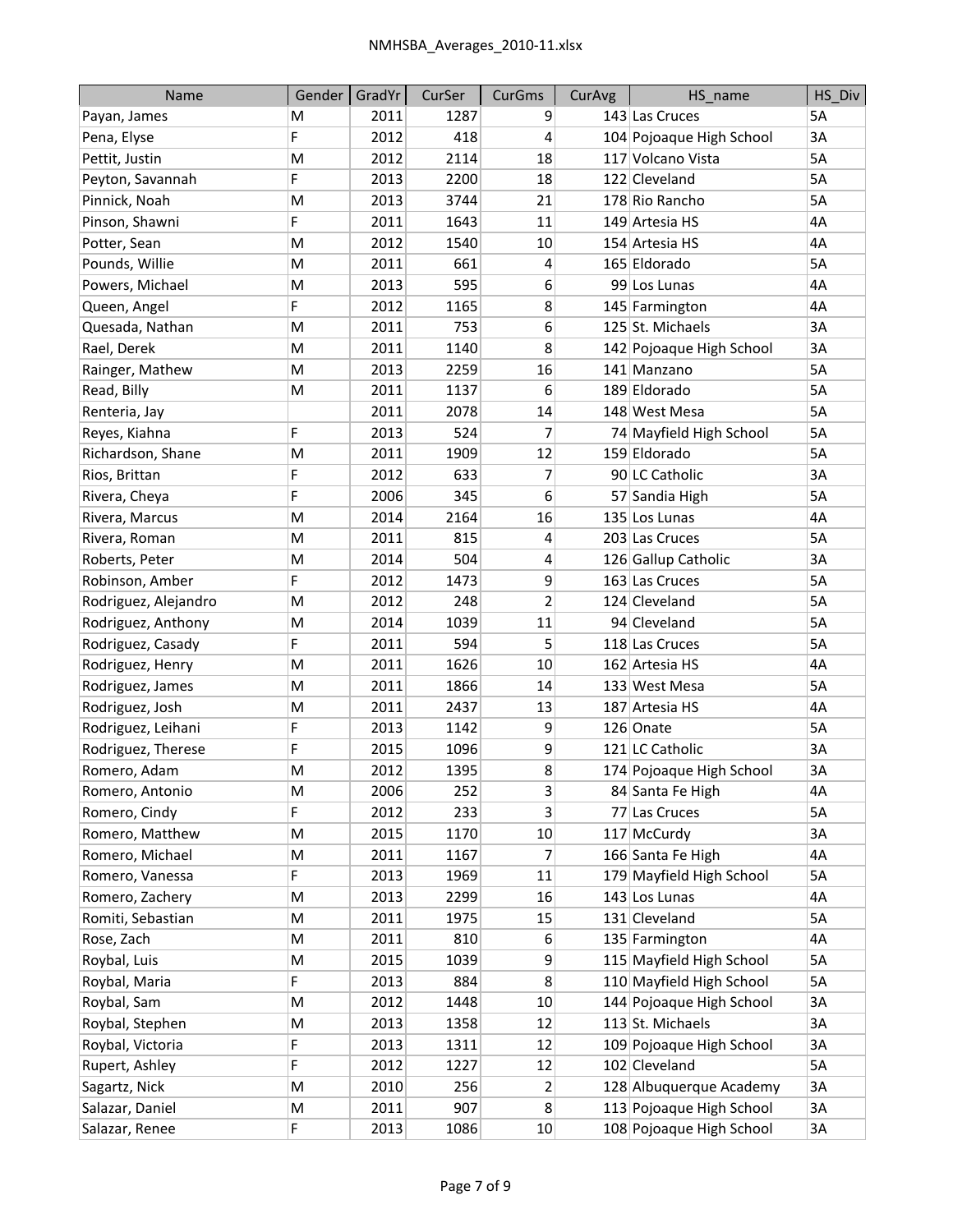| Name                 | Gender | GradYr | CurSer | CurGms         | CurAvg | HS_name                  | HS_Div |
|----------------------|--------|--------|--------|----------------|--------|--------------------------|--------|
| Payan, James         | M      | 2011   | 1287   | 9              |        | 143 Las Cruces           | 5A     |
| Pena, Elyse          | F      | 2012   | 418    | 4              |        | 104 Pojoaque High School | 3A     |
| Pettit, Justin       | M      | 2012   | 2114   | 18             |        | 117 Volcano Vista        | 5A     |
| Peyton, Savannah     | F      | 2013   | 2200   | 18             |        | 122 Cleveland            | 5A     |
| Pinnick, Noah        | M      | 2013   | 3744   | 21             |        | 178 Rio Rancho           | 5A     |
| Pinson, Shawni       | F      | 2011   | 1643   | 11             |        | 149 Artesia HS           | 4A     |
| Potter, Sean         | M      | 2012   | 1540   | 10             |        | 154 Artesia HS           | 4A     |
| Pounds, Willie       | M      | 2011   | 661    | 4              |        | 165 Eldorado             | 5A     |
| Powers, Michael      | M      | 2013   | 595    | 6              |        | 99 Los Lunas             | 4A     |
| Queen, Angel         | F      | 2012   | 1165   | 8              |        | 145 Farmington           | 4A     |
| Quesada, Nathan      | M      | 2011   | 753    | 6              |        | 125 St. Michaels         | 3A     |
| Rael, Derek          | M      | 2011   | 1140   | 8              |        | 142 Pojoaque High School | 3A     |
| Rainger, Mathew      | M      | 2013   | 2259   | 16             |        | 141 Manzano              | 5A     |
| Read, Billy          | M      | 2011   | 1137   | 6              |        | 189 Eldorado             | 5A     |
| Renteria, Jay        |        | 2011   | 2078   | 14             |        | 148 West Mesa            | 5A     |
| Reyes, Kiahna        | F      | 2013   | 524    | 7              |        | 74 Mayfield High School  | 5A     |
| Richardson, Shane    | M      | 2011   | 1909   | 12             |        | 159 Eldorado             | 5A     |
| Rios, Brittan        | F      | 2012   | 633    | 7              |        | 90 LC Catholic           | 3A     |
| Rivera, Cheya        | F      | 2006   | 345    | 6              |        | 57 Sandia High           | 5A     |
| Rivera, Marcus       | M      | 2014   | 2164   | 16             |        | 135 Los Lunas            | 4A     |
| Rivera, Roman        | M      | 2011   | 815    | 4              |        | 203 Las Cruces           | 5A     |
| Roberts, Peter       | M      | 2014   | 504    | 4              |        | 126 Gallup Catholic      | 3A     |
| Robinson, Amber      | F      | 2012   | 1473   | 9              |        | 163 Las Cruces           | 5A     |
| Rodriguez, Alejandro | M      | 2012   | 248    | $\overline{2}$ |        | 124 Cleveland            | 5A     |
| Rodriguez, Anthony   | M      | 2014   | 1039   | 11             |        | 94 Cleveland             | 5A     |
| Rodriguez, Casady    | F      | 2011   | 594    | 5              |        | 118 Las Cruces           | 5A     |
| Rodriguez, Henry     | M      | 2011   | 1626   | 10             |        | 162 Artesia HS           | 4A     |
| Rodriguez, James     | M      | 2011   | 1866   | 14             |        | 133 West Mesa            | 5A     |
| Rodriguez, Josh      | M      | 2011   | 2437   | 13             |        | 187 Artesia HS           | 4A     |
| Rodriguez, Leihani   | F      | 2013   | 1142   | 9              |        | 126 Onate                | 5A     |
| Rodriguez, Therese   | F      | 2015   | 1096   | 9              |        | 121 LC Catholic          | 3A     |
| Romero, Adam         | M      | 2012   | 1395   | 8              |        | 174 Pojoaque High School | 3A     |
| Romero, Antonio      | M      | 2006   | 252    | $\overline{3}$ |        | 84 Santa Fe High         | 4A     |
| Romero, Cindy        | F      | 2012   | 233    | 3              |        | 77 Las Cruces            | 5A     |
| Romero, Matthew      | M      | 2015   | 1170   | 10             |        | 117 McCurdy              | 3A     |
| Romero, Michael      | M      | 2011   | 1167   | 7              |        | 166 Santa Fe High        | 4A     |
| Romero, Vanessa      | F      | 2013   | 1969   | 11             |        | 179 Mayfield High School | 5A     |
| Romero, Zachery      | M      | 2013   | 2299   | 16             |        | 143 Los Lunas            | 4A     |
| Romiti, Sebastian    | M      | 2011   | 1975   | 15             |        | 131 Cleveland            | 5A     |
| Rose, Zach           | M      | 2011   | 810    | 6              |        | 135 Farmington           | 4A     |
| Roybal, Luis         | M      | 2015   | 1039   | 9              |        | 115 Mayfield High School | 5A     |
| Roybal, Maria        | F      | 2013   | 884    | 8              |        | 110 Mayfield High School | 5A     |
| Roybal, Sam          | M      | 2012   | 1448   | 10             |        | 144 Pojoaque High School | 3A     |
| Roybal, Stephen      | M      | 2013   | 1358   | 12             |        | 113 St. Michaels         | 3A     |
| Roybal, Victoria     | F      | 2013   | 1311   | 12             |        | 109 Pojoaque High School | 3A     |
| Rupert, Ashley       | F      | 2012   | 1227   | 12             |        | 102 Cleveland            | 5A     |
| Sagartz, Nick        | M      | 2010   | 256    | 2              |        | 128 Albuquerque Academy  | 3A     |
| Salazar, Daniel      | M      | 2011   | 907    | 8              |        | 113 Pojoaque High School | 3A     |
| Salazar, Renee       | F      | 2013   | 1086   | 10             |        | 108 Pojoaque High School | 3A     |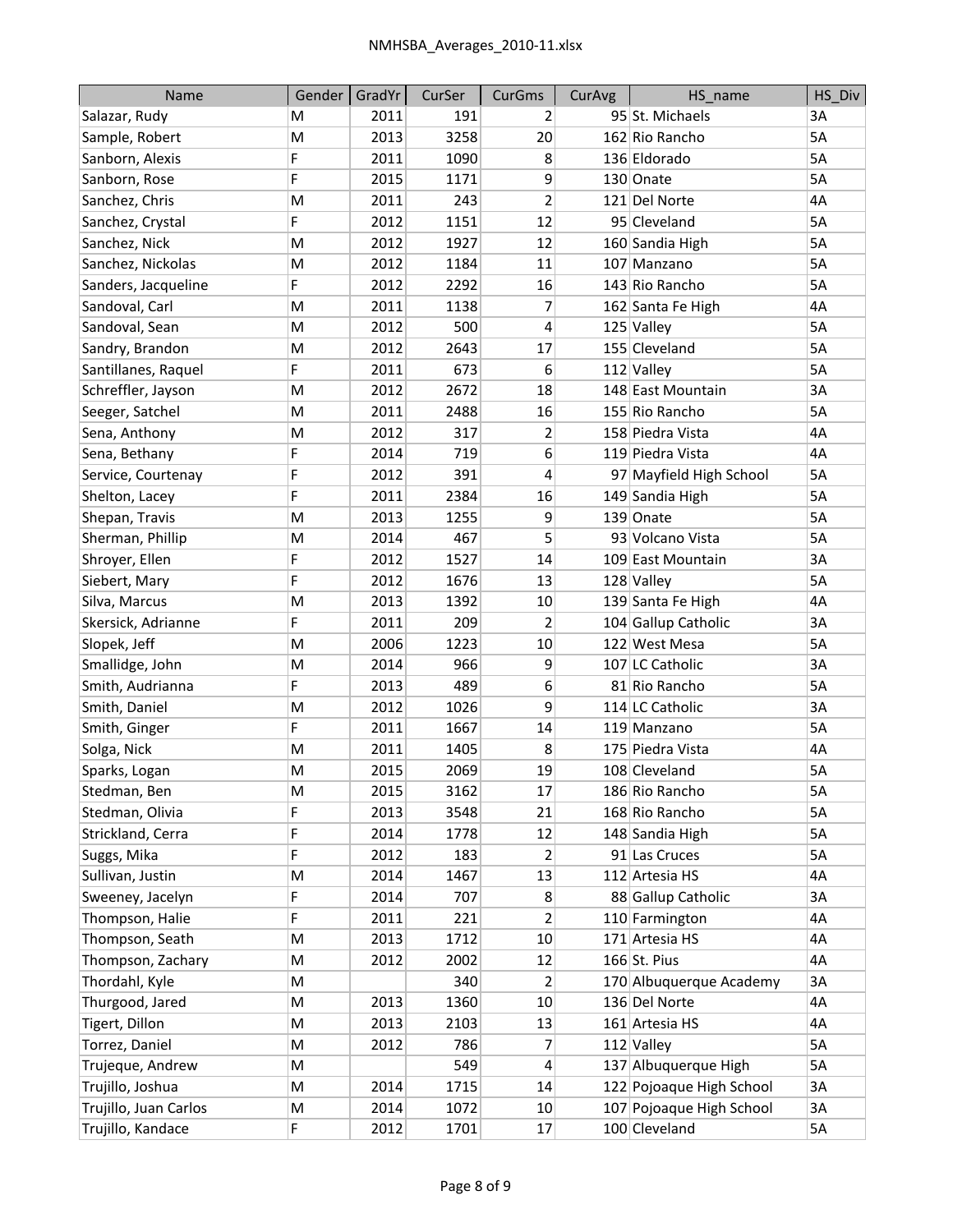| Name                  | Gender | GradYr | CurSer | CurGms         | CurAvg | HS_name                  | HS_Div |
|-----------------------|--------|--------|--------|----------------|--------|--------------------------|--------|
| Salazar, Rudy         | м      | 2011   | 191    | 2              |        | 95 St. Michaels          | ЗA     |
| Sample, Robert        | M      | 2013   | 3258   | 20             |        | 162 Rio Rancho           | 5A     |
| Sanborn, Alexis       | F      | 2011   | 1090   | 8              |        | 136 Eldorado             | 5A     |
| Sanborn, Rose         | F      | 2015   | 1171   | 9              |        | 130 Onate                | 5A     |
| Sanchez, Chris        | M      | 2011   | 243    | $\overline{2}$ |        | 121 Del Norte            | 4A     |
| Sanchez, Crystal      | F      | 2012   | 1151   | 12             |        | 95 Cleveland             | 5A     |
| Sanchez, Nick         | M      | 2012   | 1927   | 12             |        | 160 Sandia High          | 5A     |
| Sanchez, Nickolas     | M      | 2012   | 1184   | 11             |        | 107 Manzano              | 5A     |
| Sanders, Jacqueline   | F      | 2012   | 2292   | 16             |        | 143 Rio Rancho           | 5A     |
| Sandoval, Carl        | M      | 2011   | 1138   | 7              |        | 162 Santa Fe High        | 4A     |
| Sandoval, Sean        | M      | 2012   | 500    | 4              |        | 125 Valley               | 5A     |
| Sandry, Brandon       | M      | 2012   | 2643   | 17             |        | 155 Cleveland            | 5A     |
| Santillanes, Raquel   | F      | 2011   | 673    | 6              |        | 112 Valley               | 5A     |
| Schreffler, Jayson    | M      | 2012   | 2672   | 18             |        | 148 East Mountain        | 3A     |
| Seeger, Satchel       | M      | 2011   | 2488   | 16             |        | 155 Rio Rancho           | 5A     |
| Sena, Anthony         | M      | 2012   | 317    | 2              |        | 158 Piedra Vista         | 4A     |
| Sena, Bethany         | F      | 2014   | 719    | 6              |        | 119 Piedra Vista         | 4A     |
| Service, Courtenay    | F      | 2012   | 391    | 4              |        | 97 Mayfield High School  | 5A     |
| Shelton, Lacey        | F      | 2011   | 2384   | 16             |        | 149 Sandia High          | 5A     |
| Shepan, Travis        | M      | 2013   | 1255   | 9              |        | 139 Onate                | 5A     |
| Sherman, Phillip      | M      | 2014   | 467    | 5              |        | 93 Volcano Vista         | 5A     |
| Shroyer, Ellen        | F      | 2012   | 1527   | 14             |        | 109 East Mountain        | 3A     |
| Siebert, Mary         | F      | 2012   | 1676   | 13             |        | 128 Valley               | 5A     |
| Silva, Marcus         | M      | 2013   | 1392   | 10             |        | 139 Santa Fe High        | 4A     |
| Skersick, Adrianne    | F      | 2011   | 209    | 2              |        | 104 Gallup Catholic      | 3A     |
| Slopek, Jeff          | M      | 2006   | 1223   | 10             |        | 122 West Mesa            | 5A     |
| Smallidge, John       | M      | 2014   | 966    | 9              |        | 107 LC Catholic          | 3A     |
| Smith, Audrianna      | F      | 2013   | 489    | 6              |        | 81 Rio Rancho            | 5A     |
| Smith, Daniel         | M      | 2012   | 1026   | 9              |        | 114 LC Catholic          | 3A     |
| Smith, Ginger         | F      | 2011   | 1667   | 14             |        | 119 Manzano              | 5A     |
| Solga, Nick           | M      | 2011   | 1405   | 8              |        | 175 Piedra Vista         | 4A     |
| Sparks, Logan         | M      | 2015   | 2069   | 19             |        | 108 Cleveland            | 5A     |
| Stedman, Ben          | M      | 2015   | 3162   | 17             |        | 186 Rio Rancho           | 5A     |
| Stedman, Olivia       | F      | 2013   | 3548   | 21             |        | 168 Rio Rancho           | 5A     |
| Strickland, Cerra     | F      | 2014   | 1778   | 12             |        | 148 Sandia High          | 5A     |
| Suggs, Mika           | F      | 2012   | 183    | 2              |        | 91 Las Cruces            | 5A     |
| Sullivan, Justin      | M      | 2014   | 1467   | 13             |        | 112 Artesia HS           | 4А     |
| Sweeney, Jacelyn      | F      | 2014   | 707    | 8              |        | 88 Gallup Catholic       | 3A     |
| Thompson, Halie       | F      | 2011   | 221    | 2              |        | 110 Farmington           | 4А     |
| Thompson, Seath       | M      | 2013   | 1712   | 10             |        | 171 Artesia HS           | 4A     |
| Thompson, Zachary     | M      | 2012   | 2002   | 12             |        | $166$ St. Pius           | 4A     |
| Thordahl, Kyle        | M      |        | 340    | 2              |        | 170 Albuquerque Academy  | 3A     |
| Thurgood, Jared       | M      | 2013   | 1360   | 10             |        | 136 Del Norte            | 4А     |
| Tigert, Dillon        | M      | 2013   | 2103   | 13             |        | 161 Artesia HS           | 4A     |
| Torrez, Daniel        | M      | 2012   | 786    | 7              |        | 112 Valley               | 5А     |
| Trujeque, Andrew      | M      |        | 549    | 4              |        | 137 Albuquerque High     | 5A     |
| Trujillo, Joshua      | M      | 2014   | 1715   | 14             |        | 122 Pojoaque High School | 3A     |
| Trujillo, Juan Carlos | M      | 2014   | 1072   | 10             |        | 107 Pojoaque High School | 3A     |
| Trujillo, Kandace     | F      | 2012   | 1701   | 17             |        | 100 Cleveland            | 5А     |